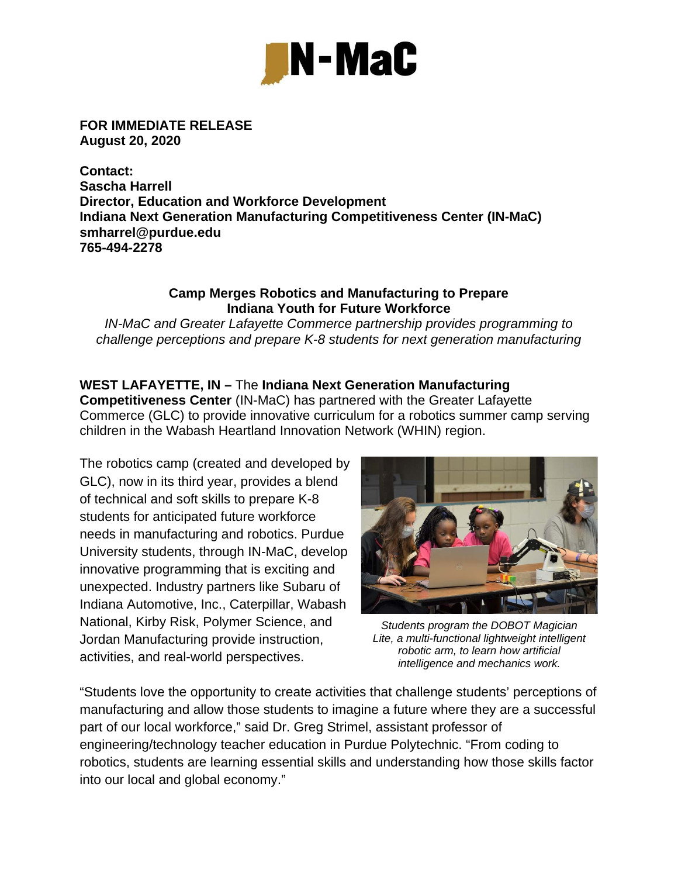

**FOR IMMEDIATE RELEASE August 20, 2020** 

**Contact: Sascha Harrell Director, Education and Workforce Development Indiana Next Generation Manufacturing Competitiveness Center (IN-MaC) smharrel@purdue.edu 765-494-2278** 

## **Camp Merges Robotics and Manufacturing to Prepare Indiana Youth for Future Workforce**

*IN-MaC and Greater Lafayette Commerce partnership provides programming to challenge perceptions and prepare K-8 students for next generation manufacturing* 

## **WEST LAFAYETTE, IN –** The **Indiana Next Generation Manufacturing**

**Competitiveness Center** (IN-MaC) has partnered with the Greater Lafayette Commerce (GLC) to provide innovative curriculum for a robotics summer camp serving children in the Wabash Heartland Innovation Network (WHIN) region.

The robotics camp (created and developed by GLC), now in its third year, provides a blend of technical and soft skills to prepare K-8 students for anticipated future workforce needs in manufacturing and robotics. Purdue University students, through IN-MaC, develop innovative programming that is exciting and unexpected. Industry partners like Subaru of Indiana Automotive, Inc., Caterpillar, Wabash National, Kirby Risk, Polymer Science, and Jordan Manufacturing provide instruction, activities, and real-world perspectives.



*Students program the DOBOT Magician Lite, a multi-functional lightweight intelligent robotic arm, to learn how artificial intelligence and mechanics work.* 

"Students love the opportunity to create activities that challenge students' perceptions of manufacturing and allow those students to imagine a future where they are a successful part of our local workforce," said Dr. Greg Strimel, assistant professor of engineering/technology teacher education in Purdue Polytechnic. "From coding to robotics, students are learning essential skills and understanding how those skills factor into our local and global economy."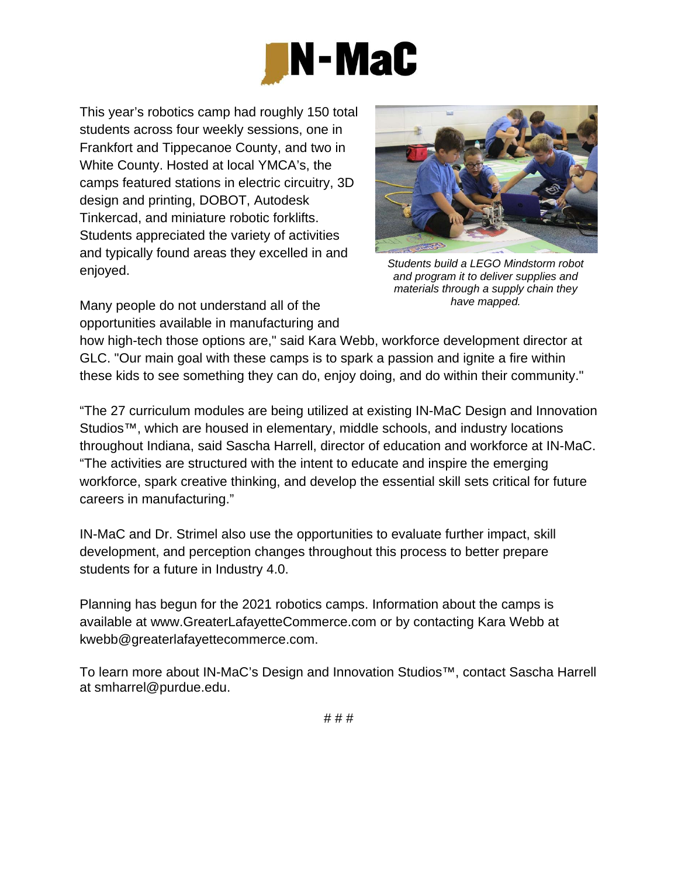

This year's robotics camp had roughly 150 total students across four weekly sessions, one in Frankfort and Tippecanoe County, and two in White County. Hosted at local YMCA's, the camps featured stations in electric circuitry, 3D design and printing, DOBOT, Autodesk Tinkercad, and miniature robotic forklifts. Students appreciated the variety of activities and typically found areas they excelled in and enjoyed.

Many people do not understand all of the opportunities available in manufacturing and



*Students build a LEGO Mindstorm robot and program it to deliver supplies and materials through a supply chain they have mapped.* 

how high-tech those options are," said Kara Webb, workforce development director at GLC. "Our main goal with these camps is to spark a passion and ignite a fire within these kids to see something they can do, enjoy doing, and do within their community."

"The 27 curriculum modules are being utilized at existing IN-MaC Design and Innovation Studios™, which are housed in elementary, middle schools, and industry locations throughout Indiana, said Sascha Harrell, director of education and workforce at IN-MaC. "The activities are structured with the intent to educate and inspire the emerging workforce, spark creative thinking, and develop the essential skill sets critical for future careers in manufacturing."

IN-MaC and Dr. Strimel also use the opportunities to evaluate further impact, skill development, and perception changes throughout this process to better prepare students for a future in Industry 4.0.

Planning has begun for the 2021 robotics camps. Information about the camps is available at www.GreaterLafayetteCommerce.com or by contacting Kara Webb at kwebb@greaterlafayettecommerce.com.

To learn more about IN-MaC's Design and Innovation Studios™, contact Sascha Harrell at smharrel@purdue.edu.